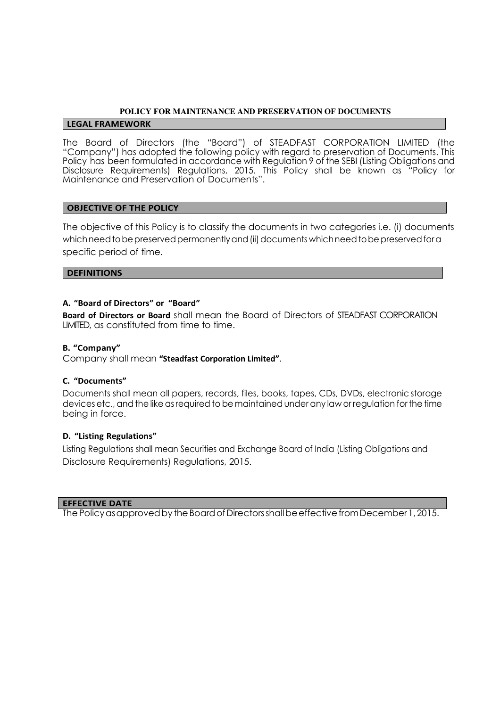### **POLICY FOR MAINTENANCE AND PRESERVATION OF DOCUMENTS**

#### **LEGAL FRAMEWORK**

The Board of Directors (the "Board") of STEADFAST CORPORATION LIMITED (the "Company") has adopted the following policy with regard to preservation of Documents. This Policy has been formulated in accordance with Regulation 9 of the SEBI (Listing Obligations and Disclosure Requirements) Regulations, 2015. This Policy shall be known as "Policy for Maintenance and Preservation of Documents".

### **OBJECTIVE OF THE POLICY**

The objective of this Policy is to classify the documents in two categories i.e. (i) documents which need to be preserved permanently and (ii) documents which need to be preserved for a specific period of time.

### **DEFINITIONS**

### **A. "Board of Directors" or "Board"**

**Board of Directors or Board** shall mean the Board of Directors of STEADFAST CORPORATION LIMITED, as constituted from time to time.

### **B. "Company"**

Company shall mean **"Steadfast Corporation Limited"**.

## **C. "Documents"**

Documents shall mean all papers, records, files, books, tapes, CDs, DVDs, electronic storage devices etc., and the like as required to be maintained under any law or regulation for the time being in force.

# **D. "Listing Regulations"**

Listing Regulations shall mean Securities and Exchange Board of India (Listing Obligations and Disclosure Requirements) Regulations, 2015.

#### **EFFECTIVE DATE**

The Policy as approved by the Board of Directors shall be effective from December 1, 2015.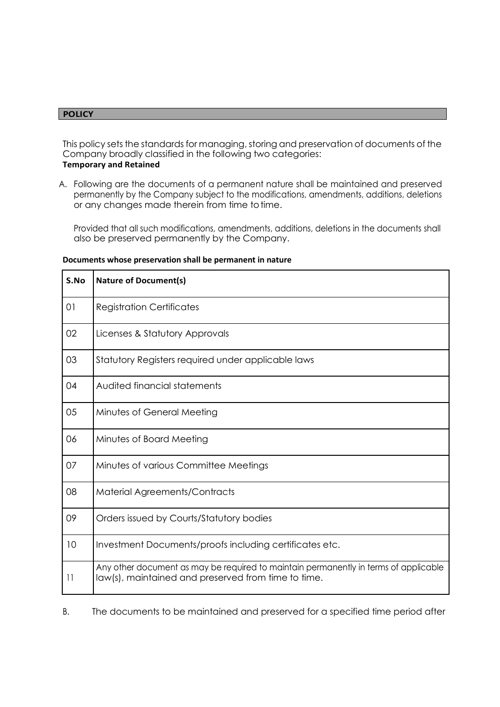### **POLICY**

 $\mathbf{r}$ 

This policy sets the standards for managing, storing and preservation of documents of the Company broadly classified in the following two categories: **Temporary and Retained**

A. Following are the documents of a permanent nature shall be maintained and preserved permanently by the Company subject to the modifications, amendments, additions, deletions or any changes made therein from time to time.

Provided that all such modifications, amendments, additions, deletions in the documents shall also be preserved permanently by the Company.

| S.No     | <b>Nature of Document(s)</b>                                                                                                                |
|----------|---------------------------------------------------------------------------------------------------------------------------------------------|
| 01       | <b>Registration Certificates</b>                                                                                                            |
| 02       | Licenses & Statutory Approvals                                                                                                              |
| 03       | Statutory Registers required under applicable laws                                                                                          |
| 04       | Audited financial statements                                                                                                                |
| 05       | Minutes of General Meeting                                                                                                                  |
| 06       | Minutes of Board Meeting                                                                                                                    |
| 07       | Minutes of various Committee Meetings                                                                                                       |
| 08       | Material Agreements/Contracts                                                                                                               |
| 09       | Orders issued by Courts/Statutory bodies                                                                                                    |
| 10       | Investment Documents/proofs including certificates etc.                                                                                     |
| $  \;  $ | Any other document as may be required to maintain permanently in terms of applicable<br>law(s), maintained and preserved from time to time. |

#### **Documents whose preservation shall be permanent in nature**

B. The documents to be maintained and preserved for a specified time period after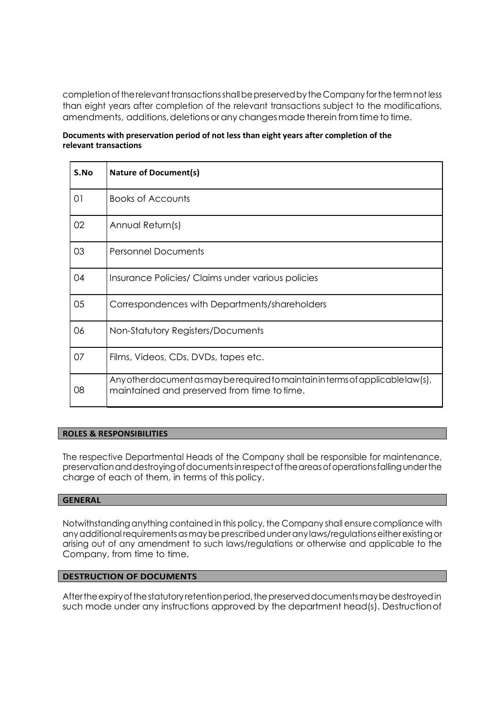completion of the relevant transactions shall be preserved by the Company for the term not less than eight years after completion of the relevant transactions subject to the modifications, amendments, additions, deletions or any changes made therein from time to time.

### **Documents with preservation period of not less than eight years after completion of the relevant transactions**

| S.No | <b>Nature of Document(s)</b>                                                                                                    |
|------|---------------------------------------------------------------------------------------------------------------------------------|
| 01   | <b>Books of Accounts</b>                                                                                                        |
| 02   | Annual Return(s)                                                                                                                |
| 03   | <b>Personnel Documents</b>                                                                                                      |
| 04   | Insurance Policies/ Claims under various policies                                                                               |
| 05   | Correspondences with Departments/shareholders                                                                                   |
| 06   | Non-Statutory Registers/Documents                                                                                               |
| 07   | Films, Videos, CDs, DVDs, tapes etc.                                                                                            |
| 08   | Any other document as may be required to maintain in terms of applicable law(s),<br>maintained and preserved from time to time. |

## **ROLES & RESPONSIBILITIES**

The respective Departmental Heads of the Company shall be responsible for maintenance, preservation and destroying of documents in respect of the areas of operations falling under the charge of each of them, in terms of this policy.

# **GENERAL**

Notwithstanding anything contained in this policy, the Company shall ensure compliance with any additional requirements as may be prescribed under any laws/regulations either existing or arising out of any amendment to such laws/regulations or otherwise and applicable to the Company, from time to time.

# **DESTRUCTION OF DOCUMENTS**

After the expiry of the statutory retention period, the preserved documents may be destroyed in such mode under any instructions approved by the department head(s). Destruction of